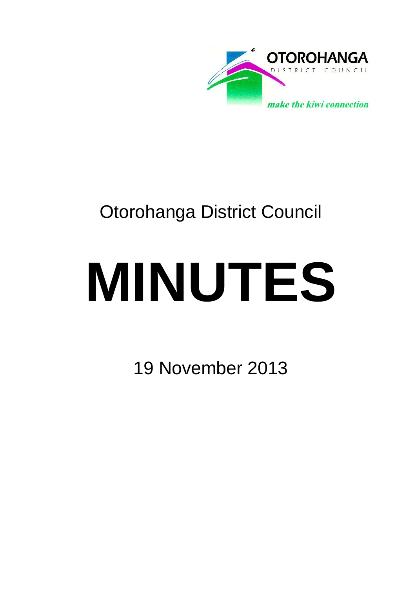

## Otorohanga District Council

# **MINUTES**

19 November 2013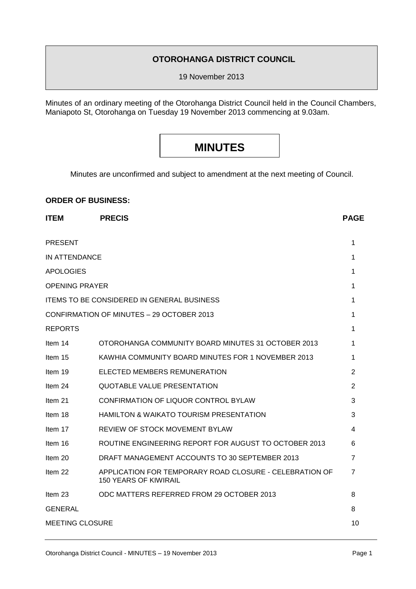#### **OTOROHANGA DISTRICT COUNCIL**

19 November 2013

Minutes of an ordinary meeting of the Otorohanga District Council held in the Council Chambers, Maniapoto St, Otorohanga on Tuesday 19 November 2013 commencing at 9.03am.

### **MINUTES**

Minutes are unconfirmed and subject to amendment at the next meeting of Council.

#### **ORDER OF BUSINESS:**

| <b>ITEM</b>                                       | <b>PRECIS</b>                                                                           | <b>PAGE</b>    |
|---------------------------------------------------|-----------------------------------------------------------------------------------------|----------------|
| <b>PRESENT</b>                                    |                                                                                         | 1              |
| IN ATTENDANCE                                     |                                                                                         |                |
| <b>APOLOGIES</b>                                  |                                                                                         |                |
| <b>OPENING PRAYER</b>                             |                                                                                         |                |
| <b>ITEMS TO BE CONSIDERED IN GENERAL BUSINESS</b> |                                                                                         |                |
| CONFIRMATION OF MINUTES - 29 OCTOBER 2013         |                                                                                         |                |
| <b>REPORTS</b>                                    |                                                                                         | 1              |
| Item 14                                           | OTOROHANGA COMMUNITY BOARD MINUTES 31 OCTOBER 2013                                      | 1              |
| Item 15                                           | KAWHIA COMMUNITY BOARD MINUTES FOR 1 NOVEMBER 2013                                      | 1              |
| Item 19                                           | ELECTED MEMBERS REMUNERATION                                                            | $\overline{2}$ |
| Item 24                                           | <b>QUOTABLE VALUE PRESENTATION</b>                                                      | $\overline{2}$ |
| Item 21                                           | CONFIRMATION OF LIQUOR CONTROL BYLAW                                                    | 3              |
| Item 18                                           | <b>HAMILTON &amp; WAIKATO TOURISM PRESENTATION</b>                                      | 3              |
| Item 17                                           | REVIEW OF STOCK MOVEMENT BYLAW                                                          | 4              |
| ltem 16                                           | ROUTINE ENGINEERING REPORT FOR AUGUST TO OCTOBER 2013                                   | 6              |
| Item 20                                           | DRAFT MANAGEMENT ACCOUNTS TO 30 SEPTEMBER 2013                                          | 7              |
| Item 22                                           | APPLICATION FOR TEMPORARY ROAD CLOSURE - CELEBRATION OF<br><b>150 YEARS OF KIWIRAIL</b> | 7              |
| Item 23                                           | ODC MATTERS REFERRED FROM 29 OCTOBER 2013                                               | 8              |
| <b>GENERAL</b>                                    |                                                                                         |                |
| <b>MEETING CLOSURE</b>                            |                                                                                         |                |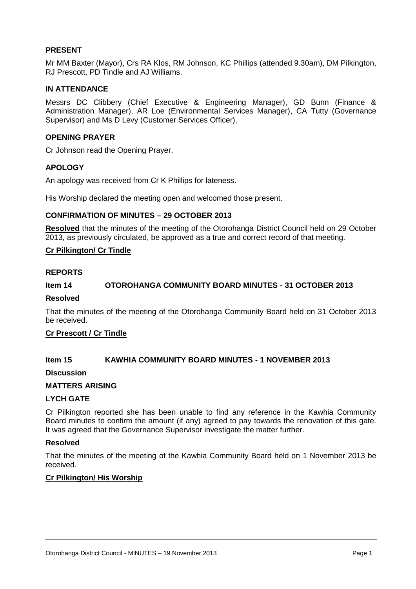#### **PRESENT**

Mr MM Baxter (Mayor), Crs RA Klos, RM Johnson, KC Phillips (attended 9.30am), DM Pilkington, RJ Prescott, PD Tindle and AJ Williams.

#### **IN ATTENDANCE**

Messrs DC Clibbery (Chief Executive & Engineering Manager), GD Bunn (Finance & Administration Manager), AR Loe (Environmental Services Manager), CA Tutty (Governance Supervisor) and Ms D Levy (Customer Services Officer).

#### **OPENING PRAYER**

Cr Johnson read the Opening Prayer.

#### **APOLOGY**

An apology was received from Cr K Phillips for lateness.

His Worship declared the meeting open and welcomed those present.

#### **CONFIRMATION OF MINUTES – 29 OCTOBER 2013**

**Resolved** that the minutes of the meeting of the Otorohanga District Council held on 29 October 2013, as previously circulated, be approved as a true and correct record of that meeting.

#### **Cr Pilkington/ Cr Tindle**

#### **REPORTS**

#### **Item 14 OTOROHANGA COMMUNITY BOARD MINUTES - 31 OCTOBER 2013**

#### **Resolved**

That the minutes of the meeting of the Otorohanga Community Board held on 31 October 2013 be received.

#### **Cr Prescott / Cr Tindle**

#### **Item 15 KAWHIA COMMUNITY BOARD MINUTES - 1 NOVEMBER 2013**

#### **Discussion**

#### **MATTERS ARISING**

#### **LYCH GATE**

Cr Pilkington reported she has been unable to find any reference in the Kawhia Community Board minutes to confirm the amount (if any) agreed to pay towards the renovation of this gate. It was agreed that the Governance Supervisor investigate the matter further.

#### **Resolved**

That the minutes of the meeting of the Kawhia Community Board held on 1 November 2013 be received.

#### **Cr Pilkington/ His Worship**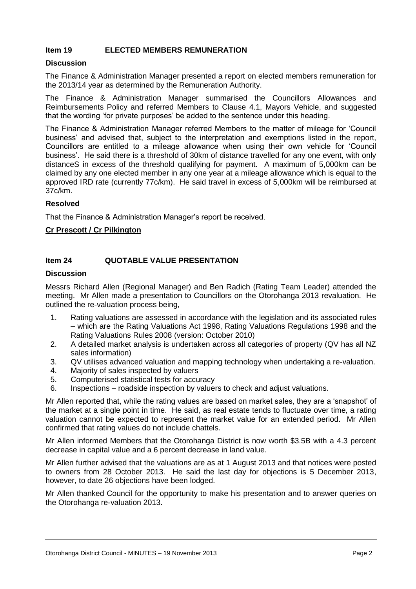#### **Item 19 ELECTED MEMBERS REMUNERATION**

#### **Discussion**

The Finance & Administration Manager presented a report on elected members remuneration for the 2013/14 year as determined by the Remuneration Authority.

The Finance & Administration Manager summarised the Councillors Allowances and Reimbursements Policy and referred Members to Clause 4.1, Mayors Vehicle, and suggested that the wording 'for private purposes' be added to the sentence under this heading.

The Finance & Administration Manager referred Members to the matter of mileage for 'Council business' and advised that, subject to the interpretation and exemptions listed in the report, Councillors are entitled to a mileage allowance when using their own vehicle for 'Council business'. He said there is a threshold of 30km of distance travelled for any one event, with only distanceS in excess of the threshold qualifying for payment. A maximum of 5,000km can be claimed by any one elected member in any one year at a mileage allowance which is equal to the approved IRD rate (currently 77c/km). He said travel in excess of 5,000km will be reimbursed at 37c/km.

#### **Resolved**

That the Finance & Administration Manager's report be received.

#### **Cr Prescott / Cr Pilkington**

#### **Item 24 QUOTABLE VALUE PRESENTATION**

#### **Discussion**

Messrs Richard Allen (Regional Manager) and Ben Radich (Rating Team Leader) attended the meeting. Mr Allen made a presentation to Councillors on the Otorohanga 2013 revaluation. He outlined the re-valuation process being,

- 1. Rating valuations are assessed in accordance with the legislation and its associated rules – which are the Rating Valuations Act 1998, Rating Valuations Regulations 1998 and the Rating Valuations Rules 2008 (version: October 2010)
- 2. A detailed market analysis is undertaken across all categories of property (QV has all NZ sales information)
- 3. QV utilises advanced valuation and mapping technology when undertaking a re-valuation.
- 4. Majority of sales inspected by valuers
- 5. Computerised statistical tests for accuracy
- 6. Inspections roadside inspection by valuers to check and adjust valuations.

Mr Allen reported that, while the rating values are based on market sales, they are a 'snapshot' of the market at a single point in time. He said, as real estate tends to fluctuate over time, a rating valuation cannot be expected to represent the market value for an extended period. Mr Allen confirmed that rating values do not include chattels.

Mr Allen informed Members that the Otorohanga District is now worth \$3.5B with a 4.3 percent decrease in capital value and a 6 percent decrease in land value.

Mr Allen further advised that the valuations are as at 1 August 2013 and that notices were posted to owners from 28 October 2013. He said the last day for objections is 5 December 2013, however, to date 26 objections have been lodged.

Mr Allen thanked Council for the opportunity to make his presentation and to answer queries on the Otorohanga re-valuation 2013.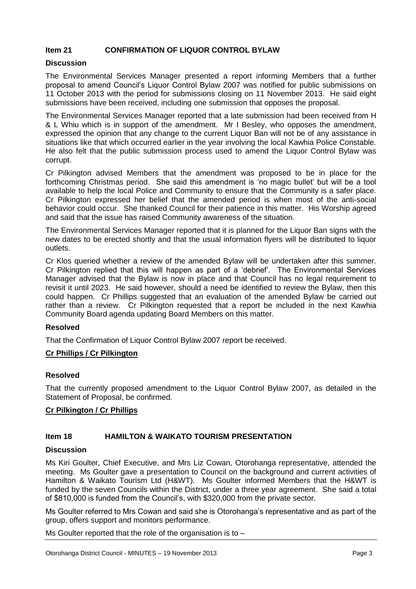#### **Item 21 CONFIRMATION OF LIQUOR CONTROL BYLAW**

#### **Discussion**

The Environmental Services Manager presented a report informing Members that a further proposal to amend Council's Liquor Control Bylaw 2007 was notified for public submissions on 11 October 2013 with the period for submissions closing on 11 November 2013. He said eight submissions have been received, including one submission that opposes the proposal.

The Environmental Services Manager reported that a late submission had been received from H & L Whiu which is in support of the amendment. Mr I Besley, who opposes the amendment, expressed the opinion that any change to the current Liquor Ban will not be of any assistance in situations like that which occurred earlier in the year involving the local Kawhia Police Constable. He also felt that the public submission process used to amend the Liquor Control Bylaw was corrupt.

Cr Pilkington advised Members that the amendment was proposed to be in place for the forthcoming Christmas period. She said this amendment is 'no magic bullet' but will be a tool available to help the local Police and Community to ensure that the Community is a safer place. Cr Pilkington expressed her belief that the amended period is when most of the anti-social behavior could occur. She thanked Council for their patience in this matter. His Worship agreed and said that the issue has raised Community awareness of the situation.

The Environmental Services Manager reported that it is planned for the Liquor Ban signs with the new dates to be erected shortly and that the usual information flyers will be distributed to liquor outlets.

Cr Klos queried whether a review of the amended Bylaw will be undertaken after this summer. Cr Pilkington replied that this will happen as part of a 'debrief'. The Environmental Services Manager advised that the Bylaw is now in place and that Council has no legal requirement to revisit it until 2023. He said however, should a need be identified to review the Bylaw, then this could happen. Cr Phillips suggested that an evaluation of the amended Bylaw be carried out rather than a review. Cr Pilkington requested that a report be included in the next Kawhia Community Board agenda updating Board Members on this matter.

#### **Resolved**

That the Confirmation of Liquor Control Bylaw 2007 report be received.

#### **Cr Phillips / Cr Pilkington**

#### **Resolved**

That the currently proposed amendment to the Liquor Control Bylaw 2007, as detailed in the Statement of Proposal, be confirmed.

#### **Cr Pilkington / Cr Phillips**

#### **Item 18 HAMILTON & WAIKATO TOURISM PRESENTATION**

#### **Discussion**

Ms Kiri Goulter, Chief Executive, and Mrs Liz Cowan, Otorohanga representative, attended the meeting. Ms Goulter gave a presentation to Council on the background and current activities of Hamilton & Waikato Tourism Ltd (H&WT). Ms Goulter informed Members that the H&WT is funded by the seven Councils within the District, under a three year agreement. She said a total of \$810,000 is funded from the Council's, with \$320,000 from the private sector.

Ms Goulter referred to Mrs Cowan and said she is Otorohanga's representative and as part of the group, offers support and monitors performance.

Ms Goulter reported that the role of the organisation is to –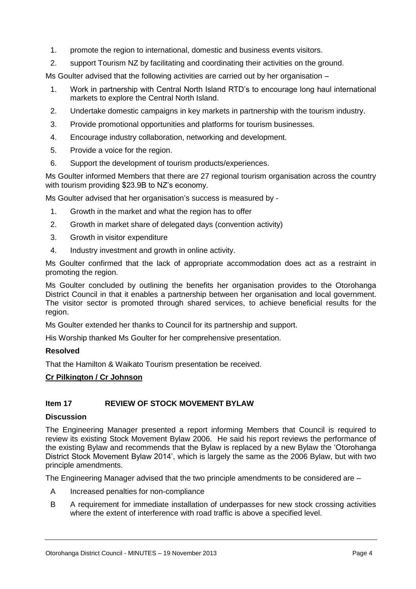- 1. promote the region to international, domestic and business events visitors.
- 2. support Tourism NZ by facilitating and coordinating their activities on the ground.

Ms Goulter advised that the following activities are carried out by her organisation –

- 1. Work in partnership with Central North Island RTD's to encourage long haul international markets to explore the Central North Island.
- 2. Undertake domestic campaigns in key markets in partnership with the tourism industry.
- 3. Provide promotional opportunities and platforms for tourism businesses.
- 4. Encourage industry collaboration, networking and development.
- 5. Provide a voice for the region.
- 6. Support the development of tourism products/experiences.

Ms Goulter informed Members that there are 27 regional tourism organisation across the country with tourism providing \$23.9B to NZ's economy.

Ms Goulter advised that her organisation's success is measured by -

- 1. Growth in the market and what the region has to offer
- 2. Growth in market share of delegated days (convention activity)
- 3. Growth in visitor expenditure
- 4. Industry investment and growth in online activity.

Ms Goulter confirmed that the lack of appropriate accommodation does act as a restraint in promoting the region.

Ms Goulter concluded by outlining the benefits her organisation provides to the Otorohanga District Council in that it enables a partnership between her organisation and local government. The visitor sector is promoted through shared services, to achieve beneficial results for the region.

Ms Goulter extended her thanks to Council for its partnership and support.

His Worship thanked Ms Goulter for her comprehensive presentation.

#### **Resolved**

That the Hamilton & Waikato Tourism presentation be received.

#### **Cr Pilkington / Cr Johnson**

#### **Item 17 REVIEW OF STOCK MOVEMENT BYLAW**

#### **Discussion**

The Engineering Manager presented a report informing Members that Council is required to review its existing Stock Movement Bylaw 2006. He said his report reviews the performance of the existing Bylaw and recommends that the Bylaw is replaced by a new Bylaw the 'Otorohanga District Stock Movement Bylaw 2014', which is largely the same as the 2006 Bylaw, but with two principle amendments.

The Engineering Manager advised that the two principle amendments to be considered are –

- A Increased penalties for non-compliance
- B A requirement for immediate installation of underpasses for new stock crossing activities where the extent of interference with road traffic is above a specified level.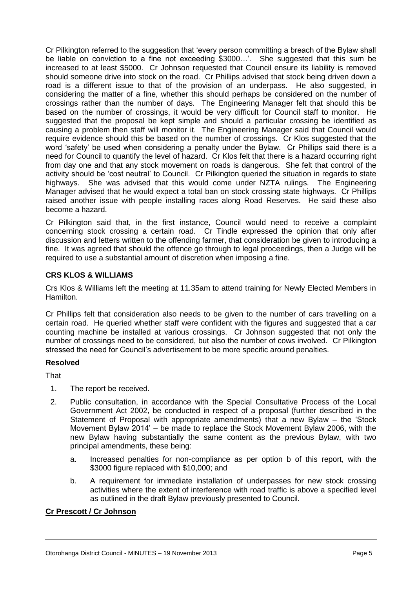Cr Pilkington referred to the suggestion that 'every person committing a breach of the Bylaw shall be liable on conviction to a fine not exceeding \$3000…'. She suggested that this sum be increased to at least \$5000. Cr Johnson requested that Council ensure its liability is removed should someone drive into stock on the road. Cr Phillips advised that stock being driven down a road is a different issue to that of the provision of an underpass. He also suggested, in considering the matter of a fine, whether this should perhaps be considered on the number of crossings rather than the number of days. The Engineering Manager felt that should this be based on the number of crossings, it would be very difficult for Council staff to monitor. He suggested that the proposal be kept simple and should a particular crossing be identified as causing a problem then staff will monitor it. The Engineering Manager said that Council would require evidence should this be based on the number of crossings. Cr Klos suggested that the word 'safety' be used when considering a penalty under the Bylaw. Cr Phillips said there is a need for Council to quantify the level of hazard. Cr Klos felt that there is a hazard occurring right from day one and that any stock movement on roads is dangerous. She felt that control of the activity should be 'cost neutral' to Council. Cr Pilkington queried the situation in regards to state highways. She was advised that this would come under NZTA rulings. The Engineering Manager advised that he would expect a total ban on stock crossing state highways. Cr Phillips raised another issue with people installing races along Road Reserves. He said these also become a hazard.

Cr Pilkington said that, in the first instance, Council would need to receive a complaint concerning stock crossing a certain road. Cr Tindle expressed the opinion that only after discussion and letters written to the offending farmer, that consideration be given to introducing a fine. It was agreed that should the offence go through to legal proceedings, then a Judge will be required to use a substantial amount of discretion when imposing a fine.

#### **CRS KLOS & WILLIAMS**

Crs Klos & Williams left the meeting at 11.35am to attend training for Newly Elected Members in Hamilton.

Cr Phillips felt that consideration also needs to be given to the number of cars travelling on a certain road. He queried whether staff were confident with the figures and suggested that a car counting machine be installed at various crossings. Cr Johnson suggested that not only the number of crossings need to be considered, but also the number of cows involved. Cr Pilkington stressed the need for Council's advertisement to be more specific around penalties.

#### **Resolved**

**That** 

- 1. The report be received.
- 2. Public consultation, in accordance with the Special Consultative Process of the Local Government Act 2002, be conducted in respect of a proposal (further described in the Statement of Proposal with appropriate amendments) that a new Bylaw – the 'Stock Movement Bylaw 2014' – be made to replace the Stock Movement Bylaw 2006, with the new Bylaw having substantially the same content as the previous Bylaw, with two principal amendments, these being:
	- a. Increased penalties for non-compliance as per option b of this report, with the \$3000 figure replaced with \$10,000; and
	- b. A requirement for immediate installation of underpasses for new stock crossing activities where the extent of interference with road traffic is above a specified level as outlined in the draft Bylaw previously presented to Council.

#### **Cr Prescott / Cr Johnson**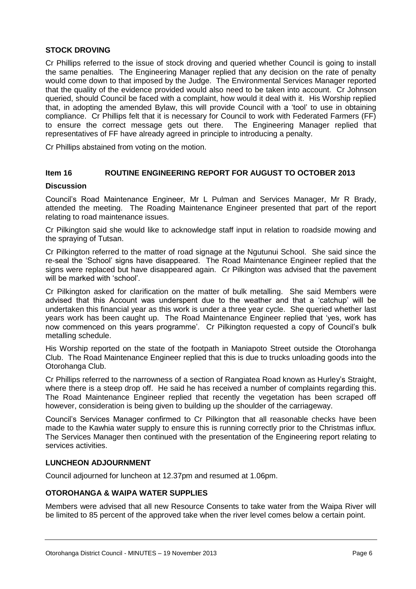#### **STOCK DROVING**

Cr Phillips referred to the issue of stock droving and queried whether Council is going to install the same penalties. The Engineering Manager replied that any decision on the rate of penalty would come down to that imposed by the Judge. The Environmental Services Manager reported that the quality of the evidence provided would also need to be taken into account. Cr Johnson queried, should Council be faced with a complaint, how would it deal with it. His Worship replied that, in adopting the amended Bylaw, this will provide Council with a 'tool' to use in obtaining compliance. Cr Phillips felt that it is necessary for Council to work with Federated Farmers (FF) to ensure the correct message gets out there. The Engineering Manager replied that representatives of FF have already agreed in principle to introducing a penalty.

Cr Phillips abstained from voting on the motion.

#### **Item 16 ROUTINE ENGINEERING REPORT FOR AUGUST TO OCTOBER 2013**

#### **Discussion**

Council's Road Maintenance Engineer, Mr L Pulman and Services Manager, Mr R Brady, attended the meeting. The Roading Maintenance Engineer presented that part of the report relating to road maintenance issues.

Cr Pilkington said she would like to acknowledge staff input in relation to roadside mowing and the spraying of Tutsan.

Cr Pilkington referred to the matter of road signage at the Ngutunui School. She said since the re-seal the 'School' signs have disappeared. The Road Maintenance Engineer replied that the signs were replaced but have disappeared again. Cr Pilkington was advised that the pavement will be marked with 'school'.

Cr Pilkington asked for clarification on the matter of bulk metalling. She said Members were advised that this Account was underspent due to the weather and that a 'catchup' will be undertaken this financial year as this work is under a three year cycle. She queried whether last years work has been caught up. The Road Maintenance Engineer replied that 'yes, work has now commenced on this years programme'. Cr Pilkington requested a copy of Council's bulk metalling schedule.

His Worship reported on the state of the footpath in Maniapoto Street outside the Otorohanga Club. The Road Maintenance Engineer replied that this is due to trucks unloading goods into the Otorohanga Club.

Cr Phillips referred to the narrowness of a section of Rangiatea Road known as Hurley's Straight, where there is a steep drop off. He said he has received a number of complaints regarding this. The Road Maintenance Engineer replied that recently the vegetation has been scraped off however, consideration is being given to building up the shoulder of the carriageway.

Council's Services Manager confirmed to Cr Pilkington that all reasonable checks have been made to the Kawhia water supply to ensure this is running correctly prior to the Christmas influx. The Services Manager then continued with the presentation of the Engineering report relating to services activities.

#### **LUNCHEON ADJOURNMENT**

Council adjourned for luncheon at 12.37pm and resumed at 1.06pm.

#### **OTOROHANGA & WAIPA WATER SUPPLIES**

Members were advised that all new Resource Consents to take water from the Waipa River will be limited to 85 percent of the approved take when the river level comes below a certain point.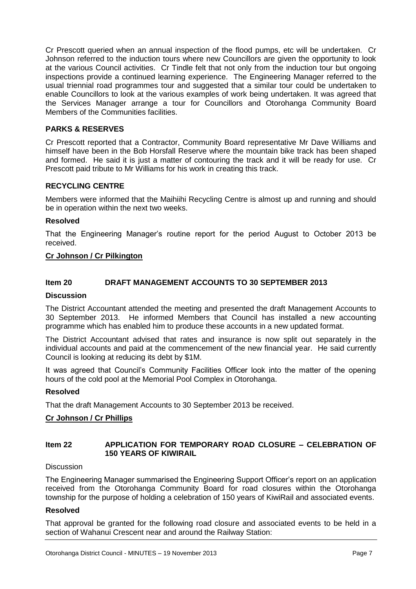Cr Prescott queried when an annual inspection of the flood pumps, etc will be undertaken. Cr Johnson referred to the induction tours where new Councillors are given the opportunity to look at the various Council activities. Cr Tindle felt that not only from the induction tour but ongoing inspections provide a continued learning experience. The Engineering Manager referred to the usual triennial road programmes tour and suggested that a similar tour could be undertaken to enable Councillors to look at the various examples of work being undertaken. It was agreed that the Services Manager arrange a tour for Councillors and Otorohanga Community Board Members of the Communities facilities.

#### **PARKS & RESERVES**

Cr Prescott reported that a Contractor, Community Board representative Mr Dave Williams and himself have been in the Bob Horsfall Reserve where the mountain bike track has been shaped and formed. He said it is just a matter of contouring the track and it will be ready for use. Cr Prescott paid tribute to Mr Williams for his work in creating this track.

#### **RECYCLING CENTRE**

Members were informed that the Maihiihi Recycling Centre is almost up and running and should be in operation within the next two weeks.

#### **Resolved**

That the Engineering Manager's routine report for the period August to October 2013 be received.

#### **Cr Johnson / Cr Pilkington**

#### **Item 20 DRAFT MANAGEMENT ACCOUNTS TO 30 SEPTEMBER 2013**

#### **Discussion**

The District Accountant attended the meeting and presented the draft Management Accounts to 30 September 2013. He informed Members that Council has installed a new accounting programme which has enabled him to produce these accounts in a new updated format.

The District Accountant advised that rates and insurance is now split out separately in the individual accounts and paid at the commencement of the new financial year. He said currently Council is looking at reducing its debt by \$1M.

It was agreed that Council's Community Facilities Officer look into the matter of the opening hours of the cold pool at the Memorial Pool Complex in Otorohanga.

#### **Resolved**

That the draft Management Accounts to 30 September 2013 be received.

#### **Cr Johnson / Cr Phillips**

#### **Item 22 APPLICATION FOR TEMPORARY ROAD CLOSURE – CELEBRATION OF 150 YEARS OF KIWIRAIL**

#### **Discussion**

The Engineering Manager summarised the Engineering Support Officer's report on an application received from the Otorohanga Community Board for road closures within the Otorohanga township for the purpose of holding a celebration of 150 years of KiwiRail and associated events.

#### **Resolved**

That approval be granted for the following road closure and associated events to be held in a section of Wahanui Crescent near and around the Railway Station: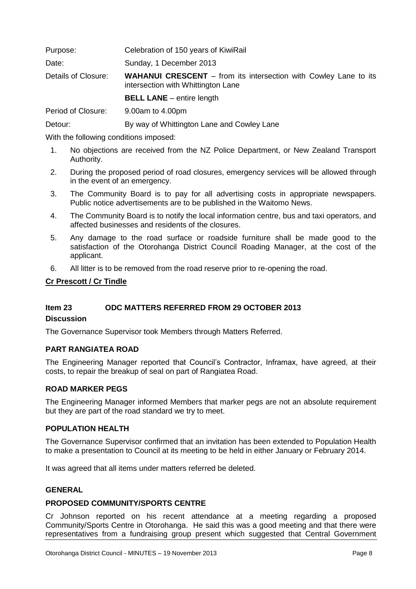| Purpose:            | Celebration of 150 years of KiwiRail                                                                          |
|---------------------|---------------------------------------------------------------------------------------------------------------|
| Date:               | Sunday, 1 December 2013                                                                                       |
| Details of Closure: | <b>WAHANUI CRESCENT</b> – from its intersection with Cowley Lane to its<br>intersection with Whittington Lane |
|                     | <b>BELL LANE</b> – entire length                                                                              |
| Desired of Olympics | $0.002 \pm 1.00 \pm 1$                                                                                        |

Period of Closure: 9.00am to 4.00pm

Detour: **By way of Whittington Lane and Cowley Lane** 

With the following conditions imposed:

- 1. No objections are received from the NZ Police Department, or New Zealand Transport Authority.
- 2. During the proposed period of road closures, emergency services will be allowed through in the event of an emergency.
- 3. The Community Board is to pay for all advertising costs in appropriate newspapers. Public notice advertisements are to be published in the Waitomo News.
- 4. The Community Board is to notify the local information centre, bus and taxi operators, and affected businesses and residents of the closures.
- 5. Any damage to the road surface or roadside furniture shall be made good to the satisfaction of the Otorohanga District Council Roading Manager, at the cost of the applicant.
- 6. All litter is to be removed from the road reserve prior to re-opening the road.

#### **Cr Prescott / Cr Tindle**

#### **Item 23 ODC MATTERS REFERRED FROM 29 OCTOBER 2013**

#### **Discussion**

The Governance Supervisor took Members through Matters Referred.

#### **PART RANGIATEA ROAD**

The Engineering Manager reported that Council's Contractor, Inframax, have agreed, at their costs, to repair the breakup of seal on part of Rangiatea Road.

#### **ROAD MARKER PEGS**

The Engineering Manager informed Members that marker pegs are not an absolute requirement but they are part of the road standard we try to meet.

#### **POPULATION HEALTH**

The Governance Supervisor confirmed that an invitation has been extended to Population Health to make a presentation to Council at its meeting to be held in either January or February 2014.

It was agreed that all items under matters referred be deleted.

#### **GENERAL**

#### **PROPOSED COMMUNITY/SPORTS CENTRE**

Cr Johnson reported on his recent attendance at a meeting regarding a proposed Community/Sports Centre in Otorohanga. He said this was a good meeting and that there were representatives from a fundraising group present which suggested that Central Government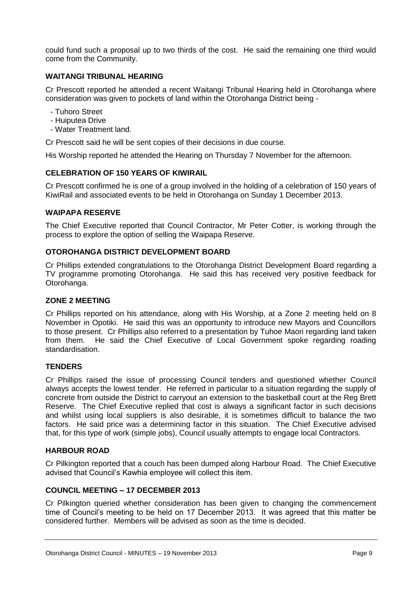could fund such a proposal up to two thirds of the cost. He said the remaining one third would come from the Community.

#### **WAITANGI TRIBUNAL HEARING**

Cr Prescott reported he attended a recent Waitangi Tribunal Hearing held in Otorohanga where consideration was given to pockets of land within the Otorohanga District being -

- Tuhoro Street
- Huiputea Drive
- Water Treatment land.

Cr Prescott said he will be sent copies of their decisions in due course.

His Worship reported he attended the Hearing on Thursday 7 November for the afternoon.

#### **CELEBRATION OF 150 YEARS OF KIWIRAIL**

Cr Prescott confirmed he is one of a group involved in the holding of a celebration of 150 years of KiwiRail and associated events to be held in Otorohanga on Sunday 1 December 2013.

#### **WAIPAPA RESERVE**

The Chief Executive reported that Council Contractor, Mr Peter Cotter, is working through the process to explore the option of selling the Waipapa Reserve.

#### **OTOROHANGA DISTRICT DEVELOPMENT BOARD**

Cr Phillips extended congratulations to the Otorohanga District Development Board regarding a TV programme promoting Otorohanga. He said this has received very positive feedback for Otorohanga.

#### **ZONE 2 MEETING**

Cr Phillips reported on his attendance, along with His Worship, at a Zone 2 meeting held on 8 November in Opotiki. He said this was an opportunity to introduce new Mayors and Councillors to those present. Cr Phillips also referred to a presentation by Tuhoe Maori regarding land taken from them. He said the Chief Executive of Local Government spoke regarding roading standardisation.

#### **TENDERS**

Cr Phillips raised the issue of processing Council tenders and questioned whether Council always accepts the lowest tender. He referred in particular to a situation regarding the supply of concrete from outside the District to carryout an extension to the basketball court at the Reg Brett Reserve. The Chief Executive replied that cost is always a significant factor in such decisions and whilst using local suppliers is also desirable, it is sometimes difficult to balance the two factors. He said price was a determining factor in this situation. The Chief Executive advised that, for this type of work (simple jobs), Council usually attempts to engage local Contractors.

#### **HARBOUR ROAD**

Cr Pilkington reported that a couch has been dumped along Harbour Road. The Chief Executive advised that Council's Kawhia employee will collect this item.

#### **COUNCIL MEETING – 17 DECEMBER 2013**

Cr Pilkington queried whether consideration has been given to changing the commencement time of Council's meeting to be held on 17 December 2013. It was agreed that this matter be considered further. Members will be advised as soon as the time is decided.